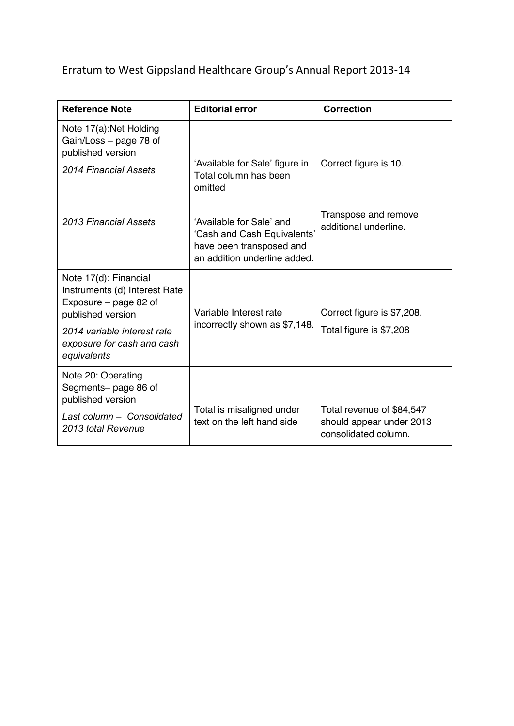Erratum to West Gippsland Healthcare Group's Annual Report 2013-14

| <b>Reference Note</b>                                                                                                                                                            | <b>Editorial error</b>                                                                                              | <b>Correction</b>                                                             |
|----------------------------------------------------------------------------------------------------------------------------------------------------------------------------------|---------------------------------------------------------------------------------------------------------------------|-------------------------------------------------------------------------------|
| Note 17(a): Net Holding<br>Gain/Loss - page 78 of<br>published version<br>2014 Financial Assets                                                                                  | 'Available for Sale' figure in<br>Total column has been<br>omitted                                                  | Correct figure is 10.                                                         |
| 2013 Financial Assets                                                                                                                                                            | 'Available for Sale' and<br>'Cash and Cash Equivalents'<br>have been transposed and<br>an addition underline added. | Transpose and remove<br>additional underline.                                 |
| Note 17(d): Financial<br>Instruments (d) Interest Rate<br>Exposure - page 82 of<br>published version<br>2014 variable interest rate<br>exposure for cash and cash<br>equivalents | Variable Interest rate<br>incorrectly shown as \$7,148.                                                             | Correct figure is \$7,208.<br>Total figure is \$7,208                         |
| Note 20: Operating<br>Segments- page 86 of<br>published version<br>Last column - Consolidated<br>2013 total Revenue                                                              | Total is misaligned under<br>text on the left hand side                                                             | Total revenue of \$84,547<br>should appear under 2013<br>consolidated column. |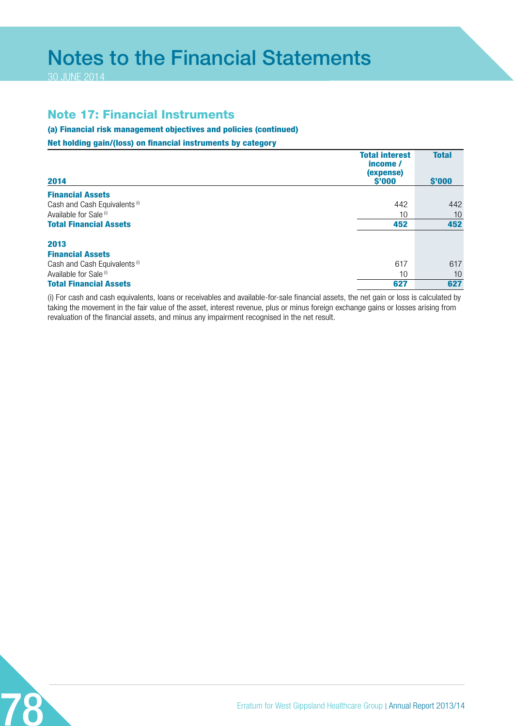# Notes to the Financial Statements

30 JUNE 2014

## Note 17: Financial Instruments

## (a) Financial risk management objectives and policies (continued)

### Net holding gain/(loss) on financial instruments by category

| 2014                                     | <b>Total interest</b><br>income /<br>(expense)<br>$$^{\prime}000$ | <b>Total</b><br>\$'000 |
|------------------------------------------|-------------------------------------------------------------------|------------------------|
| <b>Financial Assets</b>                  |                                                                   |                        |
| Cash and Cash Equivalents <sup>(i)</sup> | 442                                                               | 442                    |
| Available for Sale <sup>(i)</sup>        | 10                                                                | 10                     |
| <b>Total Financial Assets</b>            | 452                                                               | 452                    |
| 2013                                     |                                                                   |                        |
| <b>Financial Assets</b>                  |                                                                   |                        |
| Cash and Cash Equivalents <sup>(i)</sup> | 617                                                               | 617                    |
| Available for Sale <sup>(i)</sup>        | 10                                                                | 10                     |
| <b>Total Financial Assets</b>            | 627                                                               | 627                    |

(i) For cash and cash equivalents, loans or receivables and available-for-sale financial assets, the net gain or loss is calculated by taking the movement in the fair value of the asset, interest revenue, plus or minus foreign exchange gains or losses arising from revaluation of the financial assets, and minus any impairment recognised in the net result.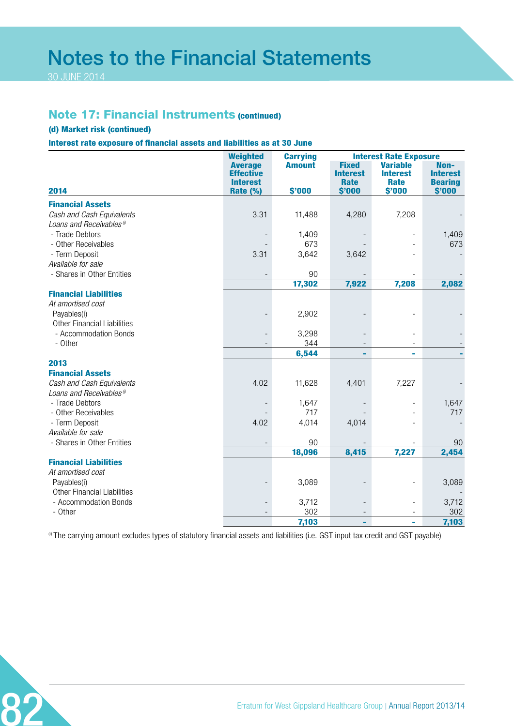# Notes to the Financial Statements

30 JUNE 2014

## Note 17: Financial Instruments (continued)

### (d) Market risk (continued)

Interest rate exposure of financial assets and liabilities as at 30 June

|                                      | <b>Weighted</b>                                                   | <b>Carrying</b>         |                                                   | <b>Interest Rate Exposure</b>                               |                                                     |
|--------------------------------------|-------------------------------------------------------------------|-------------------------|---------------------------------------------------|-------------------------------------------------------------|-----------------------------------------------------|
| 2014                                 | <b>Average</b><br><b>Effective</b><br><b>Interest</b><br>Rate (%) | <b>Amount</b><br>\$'000 | <b>Fixed</b><br><b>Interest</b><br>Rate<br>\$'000 | <b>Variable</b><br><b>Interest</b><br><b>Rate</b><br>\$'000 | Non-<br><b>Interest</b><br><b>Bearing</b><br>\$'000 |
| <b>Financial Assets</b>              |                                                                   |                         |                                                   |                                                             |                                                     |
| Cash and Cash Equivalents            | 3.31                                                              | 11,488                  | 4,280                                             | 7,208                                                       |                                                     |
| Loans and Receivables <sup>®</sup>   |                                                                   |                         |                                                   |                                                             |                                                     |
| - Trade Debtors                      |                                                                   | 1,409                   |                                                   |                                                             | 1,409                                               |
| - Other Receivables                  |                                                                   | 673                     |                                                   |                                                             | 673                                                 |
| - Term Deposit                       | 3.31                                                              | 3,642                   | 3,642                                             |                                                             |                                                     |
| Available for sale                   |                                                                   |                         |                                                   |                                                             |                                                     |
| - Shares in Other Entities           | $\overline{\phantom{a}}$                                          | 90                      |                                                   |                                                             |                                                     |
|                                      |                                                                   | 17,302                  | 7,922                                             | 7,208                                                       | 2,082                                               |
| <b>Financial Liabilities</b>         |                                                                   |                         |                                                   |                                                             |                                                     |
| At amortised cost                    |                                                                   |                         |                                                   |                                                             |                                                     |
| Payables(i)                          |                                                                   | 2,902                   |                                                   |                                                             |                                                     |
| <b>Other Financial Liabilities</b>   |                                                                   |                         |                                                   |                                                             |                                                     |
| - Accommodation Bonds                | $\qquad \qquad -$                                                 | 3,298                   |                                                   |                                                             |                                                     |
| - Other                              |                                                                   | 344                     |                                                   |                                                             |                                                     |
|                                      |                                                                   | 6,544                   |                                                   | ä,                                                          |                                                     |
| 2013                                 |                                                                   |                         |                                                   |                                                             |                                                     |
| <b>Financial Assets</b>              |                                                                   |                         |                                                   |                                                             |                                                     |
| Cash and Cash Equivalents            | 4.02                                                              | 11,628                  | 4,401                                             | 7,227                                                       |                                                     |
| Loans and Receivables <sup>®</sup>   |                                                                   |                         |                                                   |                                                             |                                                     |
| - Trade Debtors                      |                                                                   | 1,647                   |                                                   |                                                             | 1,647                                               |
| - Other Receivables                  |                                                                   | 717                     |                                                   |                                                             | 717                                                 |
| - Term Deposit<br>Available for sale | 4.02                                                              | 4,014                   | 4,014                                             |                                                             |                                                     |
| - Shares in Other Entities           |                                                                   | 90                      |                                                   |                                                             | 90                                                  |
|                                      |                                                                   | 18,096                  | 8,415                                             | 7,227                                                       | 2,454                                               |
| <b>Financial Liabilities</b>         |                                                                   |                         |                                                   |                                                             |                                                     |
| At amortised cost                    |                                                                   |                         |                                                   |                                                             |                                                     |
| Payables(i)                          |                                                                   | 3,089                   |                                                   |                                                             | 3,089                                               |
| <b>Other Financial Liabilities</b>   |                                                                   |                         |                                                   |                                                             |                                                     |
| - Accommodation Bonds                |                                                                   | 3,712                   |                                                   |                                                             | 3,712                                               |
| - Other                              |                                                                   | 302                     |                                                   |                                                             | 302                                                 |
|                                      |                                                                   | 7,103                   | ٠                                                 | ä,                                                          | 7,103                                               |

<sup>(i)</sup> The carrying amount excludes types of statutory financial assets and liabilities (i.e. GST input tax credit and GST payable)